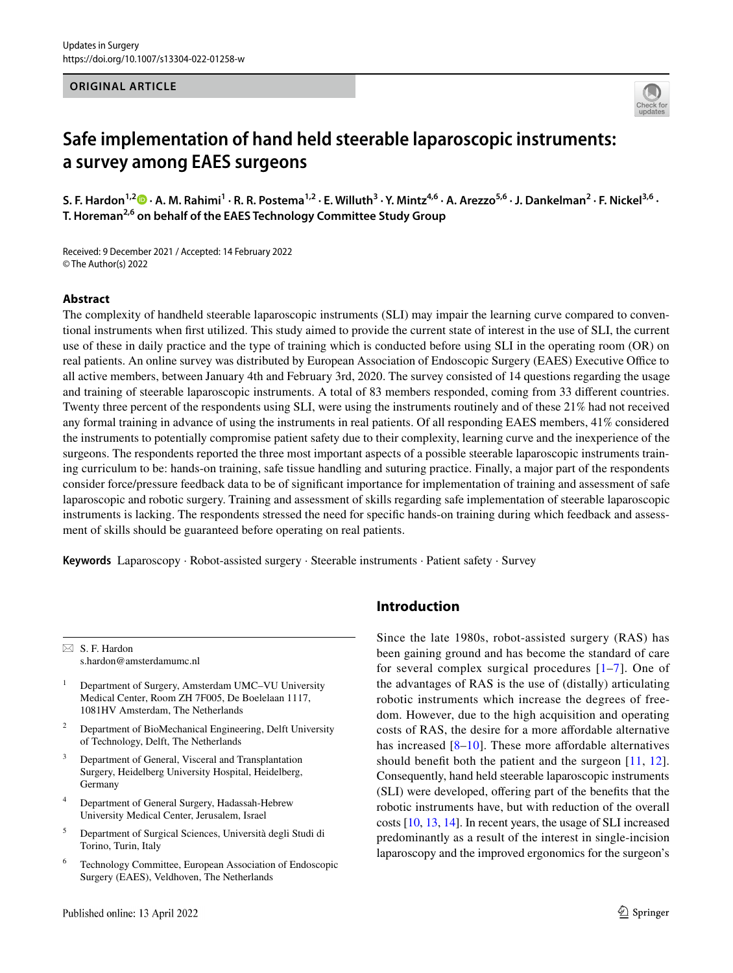#### **ORIGINAL ARTICLE**



# **Safe implementation of hand held steerable laparoscopic instruments: a survey among EAES surgeons**

**S. F. Hardon1,2  [·](http://orcid.org/0000-0003-0876-0242) A. M. Rahimi1 · R. R. Postema1,2 · E. Willuth3 · Y. Mintz4,6 · A. Arezzo5,6 · J. Dankelman2 · F. Nickel3,6 · T. Horeman2,6 on behalf of the EAES Technology Committee Study Group**

Received: 9 December 2021 / Accepted: 14 February 2022 © The Author(s) 2022

#### **Abstract**

The complexity of handheld steerable laparoscopic instruments (SLI) may impair the learning curve compared to conventional instruments when frst utilized. This study aimed to provide the current state of interest in the use of SLI, the current use of these in daily practice and the type of training which is conducted before using SLI in the operating room (OR) on real patients. An online survey was distributed by European Association of Endoscopic Surgery (EAES) Executive Office to all active members, between January 4th and February 3rd, 2020. The survey consisted of 14 questions regarding the usage and training of steerable laparoscopic instruments. A total of 83 members responded, coming from 33 diferent countries. Twenty three percent of the respondents using SLI, were using the instruments routinely and of these 21% had not received any formal training in advance of using the instruments in real patients. Of all responding EAES members, 41% considered the instruments to potentially compromise patient safety due to their complexity, learning curve and the inexperience of the surgeons. The respondents reported the three most important aspects of a possible steerable laparoscopic instruments training curriculum to be: hands-on training, safe tissue handling and suturing practice. Finally, a major part of the respondents consider force/pressure feedback data to be of signifcant importance for implementation of training and assessment of safe laparoscopic and robotic surgery. Training and assessment of skills regarding safe implementation of steerable laparoscopic instruments is lacking. The respondents stressed the need for specifc hands-on training during which feedback and assessment of skills should be guaranteed before operating on real patients.

**Keywords** Laparoscopy · Robot-assisted surgery · Steerable instruments · Patient safety · Survey

 $\boxtimes$  S. F. Hardon s.hardon@amsterdamumc.nl

- <sup>1</sup> Department of Surgery, Amsterdam UMC–VU University Medical Center, Room ZH 7F005, De Boelelaan 1117, 1081HV Amsterdam, The Netherlands
- <sup>2</sup> Department of BioMechanical Engineering, Delft University of Technology, Delft, The Netherlands
- Department of General, Visceral and Transplantation Surgery, Heidelberg University Hospital, Heidelberg, **Germany**
- <sup>4</sup> Department of General Surgery, Hadassah-Hebrew University Medical Center, Jerusalem, Israel
- <sup>5</sup> Department of Surgical Sciences, Università degli Studi di Torino, Turin, Italy
- <sup>6</sup> Technology Committee, European Association of Endoscopic Surgery (EAES), Veldhoven, The Netherlands

# **Introduction**

Since the late 1980s, robot-assisted surgery (RAS) has been gaining ground and has become the standard of care for several complex surgical procedures [[1](#page-5-0)–[7\]](#page-5-1). One of the advantages of RAS is the use of (distally) articulating robotic instruments which increase the degrees of freedom. However, due to the high acquisition and operating costs of RAS, the desire for a more afordable alternative has increased  $[8-10]$  $[8-10]$  $[8-10]$ . These more affordable alternatives should benefit both the patient and the surgeon [[11](#page-5-4), [12](#page-5-5)]. Consequently, hand held steerable laparoscopic instruments (SLI) were developed, ofering part of the benefts that the robotic instruments have, but with reduction of the overall costs [\[10](#page-5-3), [13,](#page-5-6) [14](#page-5-7)]. In recent years, the usage of SLI increased predominantly as a result of the interest in single-incision laparoscopy and the improved ergonomics for the surgeon's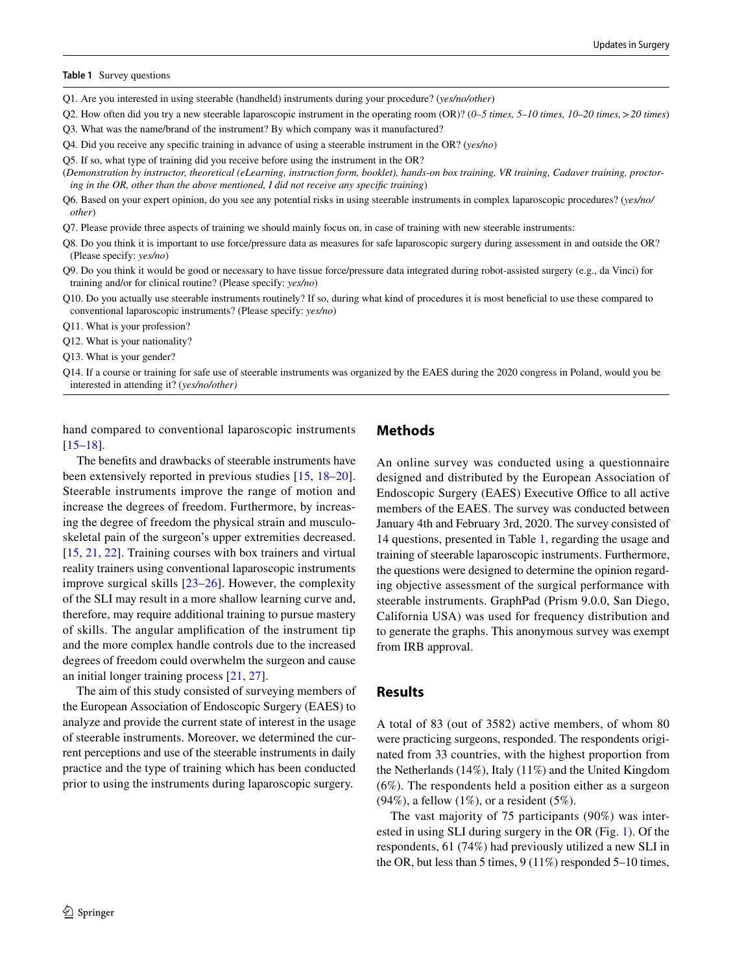#### <span id="page-1-0"></span>**Table 1** Survey questions

Q1. Are you interested in using steerable (handheld) instruments during your procedure? (*yes/no/other*)

Q2. How often did you try a new steerable laparoscopic instrument in the operating room (OR)? (*0–5 times, 5–10 times, 10–20 times,*>*20 times*) Q3. What was the name/brand of the instrument? By which company was it manufactured?

Q4. Did you receive any specifc training in advance of using a steerable instrument in the OR? (*yes/no*)

Q5. If so, what type of training did you receive before using the instrument in the OR?

(*Demonstration by instructor, theoretical (eLearning, instruction form, booklet), hands-on box training, VR training, Cadaver training, proctoring in the OR, other than the above mentioned, I did not receive any specifc training*)

Q6. Based on your expert opinion, do you see any potential risks in using steerable instruments in complex laparoscopic procedures? (*yes/no/ other*)

Q7. Please provide three aspects of training we should mainly focus on, in case of training with new steerable instruments:

Q8. Do you think it is important to use force/pressure data as measures for safe laparoscopic surgery during assessment in and outside the OR? (Please specify: *yes/no*)

Q9. Do you think it would be good or necessary to have tissue force/pressure data integrated during robot-assisted surgery (e.g., da Vinci) for training and/or for clinical routine? (Please specify: *yes/no*)

Q10. Do you actually use steerable instruments routinely? If so, during what kind of procedures it is most benefcial to use these compared to conventional laparoscopic instruments? (Please specify: *yes/no*)

Q11. What is your profession?

Q12. What is your nationality?

Q13. What is your gender?

Q14. If a course or training for safe use of steerable instruments was organized by the EAES during the 2020 congress in Poland, would you be interested in attending it? (*yes/no/other)*

hand compared to conventional laparoscopic instruments [\[15–](#page-5-8)[18\]](#page-5-9).

The benefts and drawbacks of steerable instruments have been extensively reported in previous studies [\[15](#page-5-8), [18–](#page-5-9)[20](#page-5-10)]. Steerable instruments improve the range of motion and increase the degrees of freedom. Furthermore, by increasing the degree of freedom the physical strain and musculoskeletal pain of the surgeon's upper extremities decreased. [\[15,](#page-5-8) [21,](#page-5-11) [22](#page-5-12)]. Training courses with box trainers and virtual reality trainers using conventional laparoscopic instruments improve surgical skills [\[23](#page-5-13)–[26\]](#page-5-14). However, the complexity of the SLI may result in a more shallow learning curve and, therefore, may require additional training to pursue mastery of skills. The angular amplifcation of the instrument tip and the more complex handle controls due to the increased degrees of freedom could overwhelm the surgeon and cause an initial longer training process [\[21](#page-5-11), [27](#page-5-15)].

The aim of this study consisted of surveying members of the European Association of Endoscopic Surgery (EAES) to analyze and provide the current state of interest in the usage of steerable instruments. Moreover, we determined the current perceptions and use of the steerable instruments in daily practice and the type of training which has been conducted prior to using the instruments during laparoscopic surgery.

# **Methods**

An online survey was conducted using a questionnaire designed and distributed by the European Association of Endoscopic Surgery (EAES) Executive Office to all active members of the EAES. The survey was conducted between January 4th and February 3rd, 2020. The survey consisted of 14 questions, presented in Table [1](#page-1-0), regarding the usage and training of steerable laparoscopic instruments. Furthermore, the questions were designed to determine the opinion regarding objective assessment of the surgical performance with steerable instruments. GraphPad (Prism 9.0.0, San Diego, California USA) was used for frequency distribution and to generate the graphs. This anonymous survey was exempt from IRB approval.

#### **Results**

A total of 83 (out of 3582) active members, of whom 80 were practicing surgeons, responded. The respondents originated from 33 countries, with the highest proportion from the Netherlands (14%), Italy (11%) and the United Kingdom (6%). The respondents held a position either as a surgeon  $(94\%)$ , a fellow  $(1\%)$ , or a resident  $(5\%)$ .

The vast majority of 75 participants (90%) was interested in using SLI during surgery in the OR (Fig. [1\)](#page-2-0). Of the respondents, 61 (74%) had previously utilized a new SLI in the OR, but less than 5 times, 9 (11%) responded 5–10 times,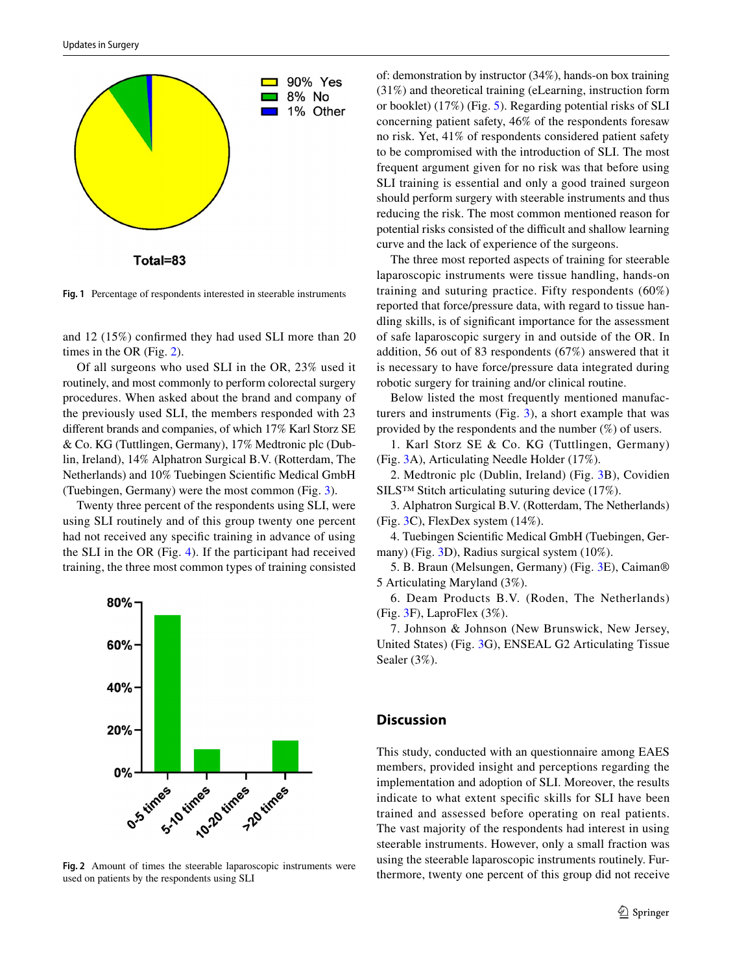

Total=83

<span id="page-2-0"></span>**Fig. 1** Percentage of respondents interested in steerable instruments

and 12 (15%) confrmed they had used SLI more than 20 times in the OR (Fig. [2\)](#page-2-1).

Of all surgeons who used SLI in the OR, 23% used it routinely, and most commonly to perform colorectal surgery procedures. When asked about the brand and company of the previously used SLI, the members responded with 23 diferent brands and companies, of which 17% Karl Storz SE & Co. KG (Tuttlingen, Germany), 17% Medtronic plc (Dublin, Ireland), 14% Alphatron Surgical B.V. (Rotterdam, The Netherlands) and 10% Tuebingen Scientifc Medical GmbH (Tuebingen, Germany) were the most common (Fig. [3\)](#page-3-0).

Twenty three percent of the respondents using SLI, were using SLI routinely and of this group twenty one percent had not received any specifc training in advance of using the SLI in the OR (Fig. [4\)](#page-3-1). If the participant had received training, the three most common types of training consisted



<span id="page-2-1"></span>**Fig. 2** Amount of times the steerable laparoscopic instruments were used on patients by the respondents using SLI

of: demonstration by instructor (34%), hands-on box training (31%) and theoretical training (eLearning, instruction form or booklet) (17%) (Fig. [5](#page-3-2)). Regarding potential risks of SLI concerning patient safety, 46% of the respondents foresaw no risk. Yet, 41% of respondents considered patient safety to be compromised with the introduction of SLI. The most frequent argument given for no risk was that before using SLI training is essential and only a good trained surgeon should perform surgery with steerable instruments and thus reducing the risk. The most common mentioned reason for potential risks consisted of the difficult and shallow learning curve and the lack of experience of the surgeons.

The three most reported aspects of training for steerable laparoscopic instruments were tissue handling, hands-on training and suturing practice. Fifty respondents (60%) reported that force/pressure data, with regard to tissue handling skills, is of signifcant importance for the assessment of safe laparoscopic surgery in and outside of the OR. In addition, 56 out of 83 respondents (67%) answered that it is necessary to have force/pressure data integrated during robotic surgery for training and/or clinical routine.

Below listed the most frequently mentioned manufacturers and instruments (Fig. [3\)](#page-3-0), a short example that was provided by the respondents and the number (%) of users.

1. Karl Storz SE & Co. KG (Tuttlingen, Germany) (Fig. [3A](#page-3-0)), Articulating Needle Holder (17%).

2. Medtronic plc (Dublin, Ireland) (Fig. [3B](#page-3-0)), Covidien SILS™ Stitch articulating suturing device (17%).

3. Alphatron Surgical B.V. (Rotterdam, The Netherlands) (Fig. [3C](#page-3-0)), FlexDex system (14%).

4. Tuebingen Scientifc Medical GmbH (Tuebingen, Germany) (Fig. [3D](#page-3-0)), Radius surgical system (10%).

5. B. Braun (Melsungen, Germany) (Fig. [3E](#page-3-0)), Caiman® 5 Articulating Maryland (3%).

6. Deam Products B.V. (Roden, The Netherlands) (Fig. [3F](#page-3-0)), LaproFlex (3%).

7. Johnson & Johnson (New Brunswick, New Jersey, United States) (Fig. [3G](#page-3-0)), ENSEAL G2 Articulating Tissue Sealer (3%).

# **Discussion**

This study, conducted with an questionnaire among EAES members, provided insight and perceptions regarding the implementation and adoption of SLI. Moreover, the results indicate to what extent specifc skills for SLI have been trained and assessed before operating on real patients. The vast majority of the respondents had interest in using steerable instruments. However, only a small fraction was using the steerable laparoscopic instruments routinely. Furthermore, twenty one percent of this group did not receive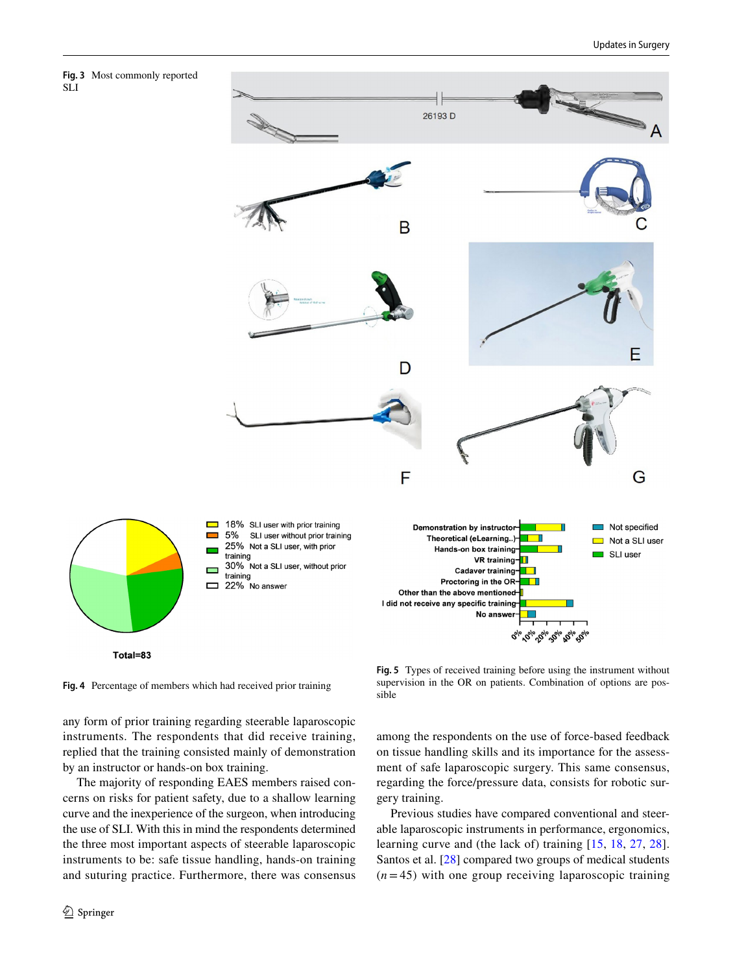<span id="page-3-0"></span>



<span id="page-3-1"></span>**Fig. 4** Percentage of members which had received prior training

any form of prior training regarding steerable laparoscopic instruments. The respondents that did receive training, replied that the training consisted mainly of demonstration by an instructor or hands-on box training.

The majority of responding EAES members raised concerns on risks for patient safety, due to a shallow learning curve and the inexperience of the surgeon, when introducing the use of SLI. With this in mind the respondents determined the three most important aspects of steerable laparoscopic instruments to be: safe tissue handling, hands-on training and suturing practice. Furthermore, there was consensus

<span id="page-3-2"></span>**Fig. 5** Types of received training before using the instrument without supervision in the OR on patients. Combination of options are possible

among the respondents on the use of force-based feedback on tissue handling skills and its importance for the assessment of safe laparoscopic surgery. This same consensus, regarding the force/pressure data, consists for robotic surgery training.

Previous studies have compared conventional and steerable laparoscopic instruments in performance, ergonomics, learning curve and (the lack of) training [\[15](#page-5-8), [18](#page-5-9), [27](#page-5-15), [28](#page-5-16)]. Santos et al. [[28\]](#page-5-16) compared two groups of medical students (*n* = 45) with one group receiving laparoscopic training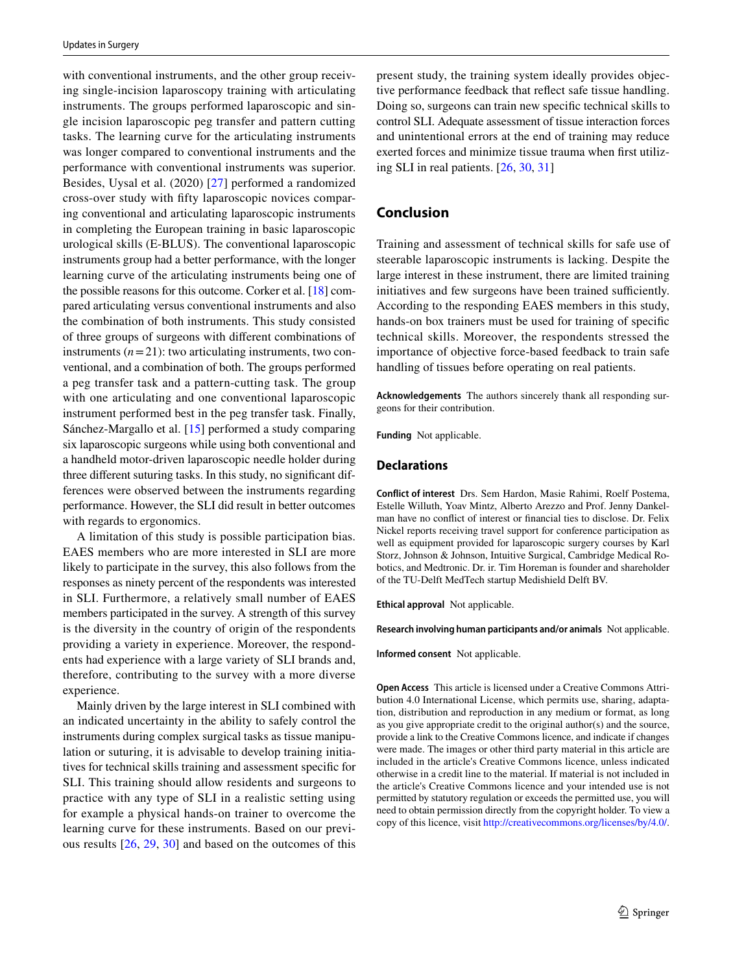with conventional instruments, and the other group receiving single-incision laparoscopy training with articulating instruments. The groups performed laparoscopic and single incision laparoscopic peg transfer and pattern cutting tasks. The learning curve for the articulating instruments was longer compared to conventional instruments and the performance with conventional instruments was superior. Besides, Uysal et al. (2020) [[27\]](#page-5-15) performed a randomized cross-over study with ffty laparoscopic novices comparing conventional and articulating laparoscopic instruments in completing the European training in basic laparoscopic urological skills (E-BLUS). The conventional laparoscopic instruments group had a better performance, with the longer learning curve of the articulating instruments being one of the possible reasons for this outcome. Corker et al. [\[18](#page-5-9)] compared articulating versus conventional instruments and also the combination of both instruments. This study consisted of three groups of surgeons with diferent combinations of instruments  $(n=21)$ : two articulating instruments, two conventional, and a combination of both. The groups performed a peg transfer task and a pattern-cutting task. The group with one articulating and one conventional laparoscopic instrument performed best in the peg transfer task. Finally, Sánchez-Margallo et al. [\[15](#page-5-8)] performed a study comparing six laparoscopic surgeons while using both conventional and a handheld motor-driven laparoscopic needle holder during three diferent suturing tasks. In this study, no signifcant differences were observed between the instruments regarding performance. However, the SLI did result in better outcomes with regards to ergonomics.

A limitation of this study is possible participation bias. EAES members who are more interested in SLI are more likely to participate in the survey, this also follows from the responses as ninety percent of the respondents was interested in SLI. Furthermore, a relatively small number of EAES members participated in the survey. A strength of this survey is the diversity in the country of origin of the respondents providing a variety in experience. Moreover, the respondents had experience with a large variety of SLI brands and, therefore, contributing to the survey with a more diverse experience.

Mainly driven by the large interest in SLI combined with an indicated uncertainty in the ability to safely control the instruments during complex surgical tasks as tissue manipulation or suturing, it is advisable to develop training initiatives for technical skills training and assessment specifc for SLI. This training should allow residents and surgeons to practice with any type of SLI in a realistic setting using for example a physical hands-on trainer to overcome the learning curve for these instruments. Based on our previous results [\[26](#page-5-14), [29,](#page-5-17) [30\]](#page-5-18) and based on the outcomes of this present study, the training system ideally provides objective performance feedback that refect safe tissue handling. Doing so, surgeons can train new specifc technical skills to control SLI. Adequate assessment of tissue interaction forces and unintentional errors at the end of training may reduce exerted forces and minimize tissue trauma when frst utilizing SLI in real patients. [[26,](#page-5-14) [30](#page-5-18), [31](#page-5-19)]

# **Conclusion**

Training and assessment of technical skills for safe use of steerable laparoscopic instruments is lacking. Despite the large interest in these instrument, there are limited training initiatives and few surgeons have been trained sufficiently. According to the responding EAES members in this study, hands-on box trainers must be used for training of specifc technical skills. Moreover, the respondents stressed the importance of objective force-based feedback to train safe handling of tissues before operating on real patients.

**Acknowledgements** The authors sincerely thank all responding surgeons for their contribution.

**Funding** Not applicable.

#### **Declarations**

**Conflict of interest** Drs. Sem Hardon, Masie Rahimi, Roelf Postema, Estelle Willuth, Yoav Mintz, Alberto Arezzo and Prof. Jenny Dankelman have no confict of interest or fnancial ties to disclose. Dr. Felix Nickel reports receiving travel support for conference participation as well as equipment provided for laparoscopic surgery courses by Karl Storz, Johnson & Johnson, Intuitive Surgical, Cambridge Medical Robotics, and Medtronic. Dr. ir. Tim Horeman is founder and shareholder of the TU-Delft MedTech startup Medishield Delft BV.

**Ethical approval** Not applicable.

**Research involving human participants and/or animals** Not applicable.

**Informed consent** Not applicable.

**Open Access** This article is licensed under a Creative Commons Attribution 4.0 International License, which permits use, sharing, adaptation, distribution and reproduction in any medium or format, as long as you give appropriate credit to the original author(s) and the source, provide a link to the Creative Commons licence, and indicate if changes were made. The images or other third party material in this article are included in the article's Creative Commons licence, unless indicated otherwise in a credit line to the material. If material is not included in the article's Creative Commons licence and your intended use is not permitted by statutory regulation or exceeds the permitted use, you will need to obtain permission directly from the copyright holder. To view a copy of this licence, visit<http://creativecommons.org/licenses/by/4.0/>.